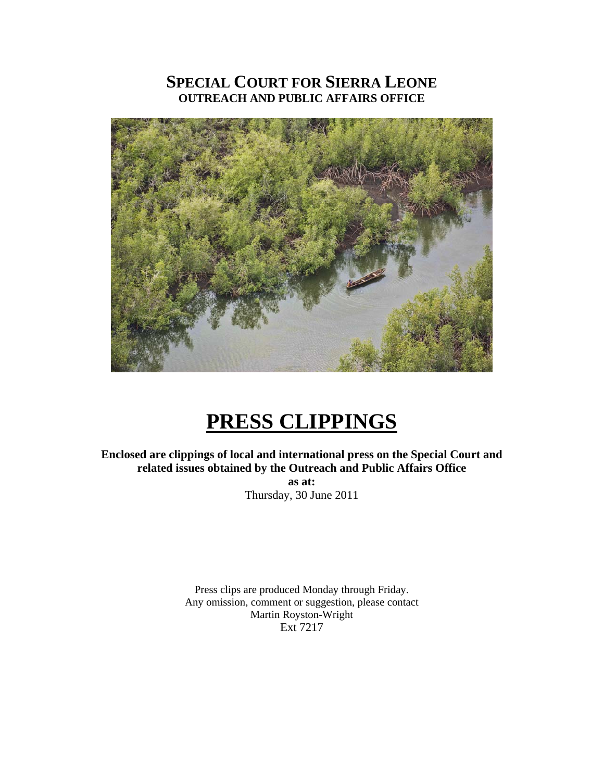## **SPECIAL COURT FOR SIERRA LEONE OUTREACH AND PUBLIC AFFAIRS OFFICE**



# **PRESS CLIPPINGS**

**Enclosed are clippings of local and international press on the Special Court and related issues obtained by the Outreach and Public Affairs Office as at:** 

Thursday, 30 June 2011

Press clips are produced Monday through Friday. Any omission, comment or suggestion, please contact Martin Royston-Wright Ext 7217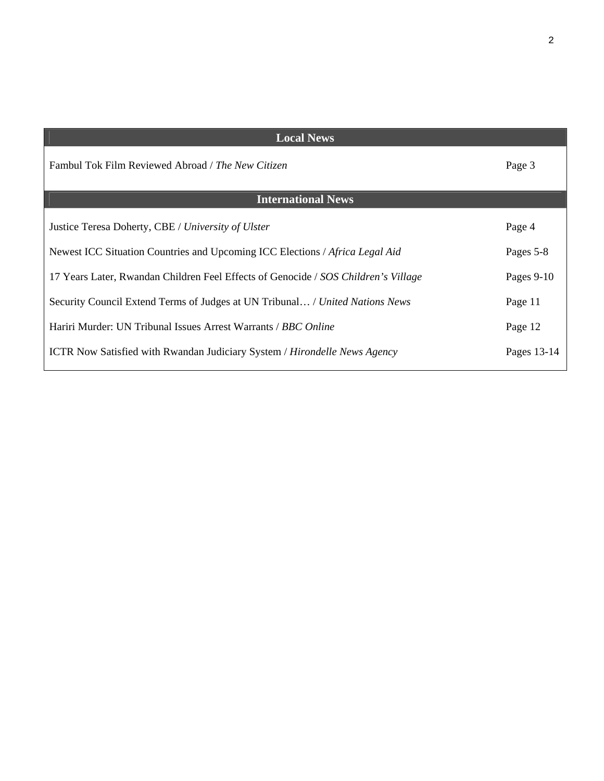| <b>Local News</b>                                                                       |             |
|-----------------------------------------------------------------------------------------|-------------|
| Fambul Tok Film Reviewed Abroad / The New Citizen                                       | Page 3      |
| <b>International News</b>                                                               |             |
| Justice Teresa Doherty, CBE / University of Ulster                                      | Page 4      |
| Newest ICC Situation Countries and Upcoming ICC Elections / Africa Legal Aid            | Pages 5-8   |
| 17 Years Later, Rwandan Children Feel Effects of Genocide / SOS Children's Village      | Pages 9-10  |
| Security Council Extend Terms of Judges at UN Tribunal / United Nations News            | Page 11     |
| Hariri Murder: UN Tribunal Issues Arrest Warrants / BBC Online                          | Page 12     |
| <b>ICTR</b> Now Satisfied with Rwandan Judiciary System / <i>Hirondelle News Agency</i> | Pages 13-14 |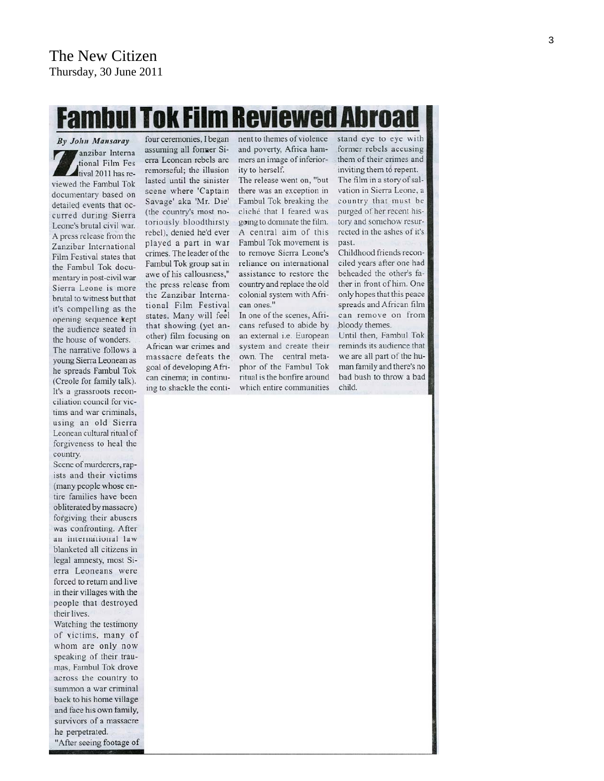# ul Tok Film Reviewed Abroa

By John Mansaray anzibar Interna tional Film Fes tival 2011 has reviewed the Fambul Tok documentary based on detailed events that occurred during Sierra Leone's brutal civil war. A press release from the Zanzibar International Film Festival states that the Fambul Tok documentary in post-civil war Sierra Leone is more brutal to witness but that it's compelling as the opening sequence kept the audience seated in the house of wonders. The narrative follows a young Sierra Leonean as he spreads Fambul Tok (Creole for family talk). It's a grassroots reconciliation council for victims and war criminals, using an old Sierra Leonean cultural ritual of forgiveness to heal the country.

Scene of murderers, rapists and their victims (many people whose entire families have been obliterated by massacre) forgiving their abusers was confronting. After an international law blanketed all citizens in legal amnesty, most Sierra Leoneans were forced to return and live in their villages with the people that destroyed their lives.

Watching the testimony of victims, many of whom are only now speaking of their traumas, Fambul Tok drove across the country to summon a war criminal back to his home village and face his own family, survivors of a massacre he perpetrated. "After seeing footage of

four ceremonies, I began assuming all former Sierra Leonean rebels are remorseful; the illusion lasted until the sinister scene where 'Captain Savage' aka 'Mr. Die' (the country's most notoriously bloodthirsty rebel), denied he'd ever played a part in war crimes. The leader of the Fambul Tok group sat in awe of his callousness," the press release from the Zanzibar International Film Festival states. Many will feel that showing (yet another) film focusing on African war crimes and massacre defeats the goal of developing African cinema; in continuing to shackle the continent to themes of violence and poverty, Africa hammers an image of inferiority to herself.

The release went on, "but there was an exception in Fambul Tok breaking the cliché that I feared was going to dominate the film. A central aim of this Fambul Tok movement is to remove Sierra Leone's reliance on international assistance to restore the country and replace the old colonial system with African ones."

In one of the scenes, Africans refused to abide by an external i.e. European system and create their own. The central metaphor of the Fambul Tok ritual is the bonfire around which entire communities

stand eye to eye with former rebels accusing them of their crimes and inviting them to repent. The film in a story of salvation in Sierra Leone, a country that must be purged of her recent history and somehow resurrected in the ashes of it's past.

Childhood friends reconciled years after one had beheaded the other's father in front of him. One only hopes that this peace spreads and African film can remove on from bloody themes.

Until then, Fambul Tok reminds its audience that we are all part of the human family and there's no bad bush to throw a bad child.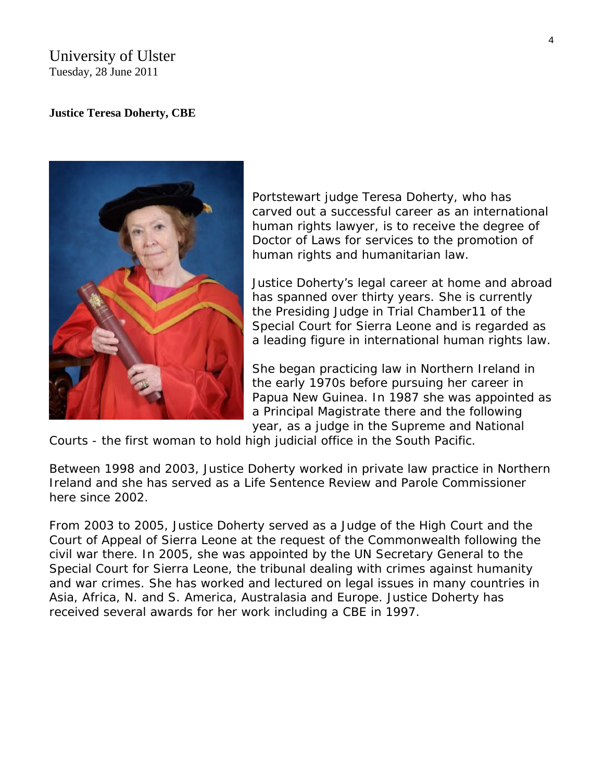### University of Ulster Tuesday, 28 June 2011

#### **Justice Teresa Doherty, CBE**



Portstewart judge Teresa Doherty, who has carved out a successful career as an international human rights lawyer, is to receive the degree of Doctor of Laws for services to the promotion of human rights and humanitarian law.

Justice Doherty's legal career at home and abroad has spanned over thirty years. She is currently the Presiding Judge in Trial Chamber11 of the Special Court for Sierra Leone and is regarded as a leading figure in international human rights law.

She began practicing law in Northern Ireland in the early 1970s before pursuing her career in Papua New Guinea. In 1987 she was appointed as a Principal Magistrate there and the following year, as a judge in the Supreme and National

Courts - the first woman to hold high judicial office in the South Pacific.

Between 1998 and 2003, Justice Doherty worked in private law practice in Northern Ireland and she has served as a Life Sentence Review and Parole Commissioner here since 2002.

From 2003 to 2005, Justice Doherty served as a Judge of the High Court and the Court of Appeal of Sierra Leone at the request of the Commonwealth following the civil war there. In 2005, she was appointed by the UN Secretary General to the Special Court for Sierra Leone, the tribunal dealing with crimes against humanity and war crimes. She has worked and lectured on legal issues in many countries in Asia, Africa, N. and S. America, Australasia and Europe. Justice Doherty has received several awards for her work including a CBE in 1997.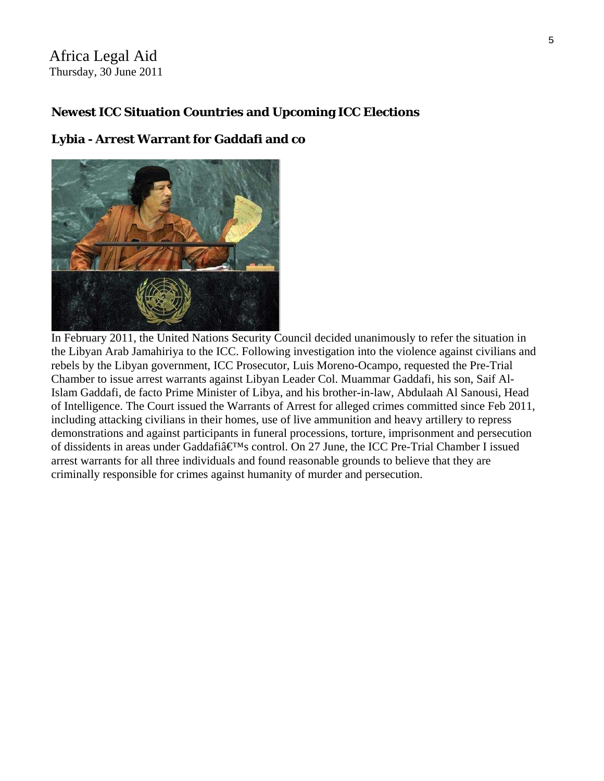Africa Legal Aid Thursday, 30 June 2011

## **Newest ICC Situation Countries and Upcoming ICC Elections**

#### **Lybia - Arrest Warrant for Gaddafi and co**



In February 2011, the United Nations Security Council decided unanimously to refer the situation in the Libyan Arab Jamahiriya to the ICC. Following investigation into the violence against civilians and rebels by the Libyan government, ICC Prosecutor, Luis Moreno-Ocampo, requested the Pre-Trial Chamber to issue arrest warrants against Libyan Leader Col. Muammar Gaddafi, his son, Saif Al-Islam Gaddafi, de facto Prime Minister of Libya, and his brother-in-law, Abdulaah Al Sanousi, Head of Intelligence. The Court issued the Warrants of Arrest for alleged crimes committed since Feb 2011, including attacking civilians in their homes, use of live ammunition and heavy artillery to repress demonstrations and against participants in funeral processions, torture, imprisonment and persecution of dissidents in areas under Gaddafi $\hat{\mathbf{a}} \in \mathbb{M}$ s control. On 27 June, the ICC Pre-Trial Chamber I issued arrest warrants for all three individuals and found reasonable grounds to believe that they are criminally responsible for crimes against humanity of murder and persecution.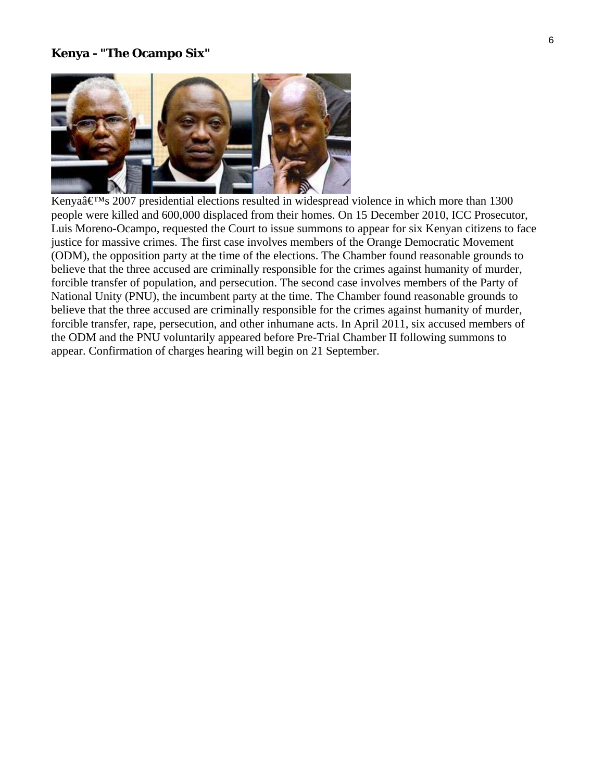#### **Kenya - "The Ocampo Six"**



Kenya $\hat{\mathbf{a}} \in \mathbb{R}^{M}$ s 2007 presidential elections resulted in widespread violence in which more than 1300 people were killed and 600,000 displaced from their homes. On 15 December 2010, ICC Prosecutor, Luis Moreno-Ocampo, requested the Court to issue summons to appear for six Kenyan citizens to face justice for massive crimes. The first case involves members of the Orange Democratic Movement (ODM), the opposition party at the time of the elections. The Chamber found reasonable grounds to believe that the three accused are criminally responsible for the crimes against humanity of murder, forcible transfer of population, and persecution. The second case involves members of the Party of National Unity (PNU), the incumbent party at the time. The Chamber found reasonable grounds to believe that the three accused are criminally responsible for the crimes against humanity of murder, forcible transfer, rape, persecution, and other inhumane acts. In April 2011, six accused members of the ODM and the PNU voluntarily appeared before Pre-Trial Chamber II following summons to appear. Confirmation of charges hearing will begin on 21 September.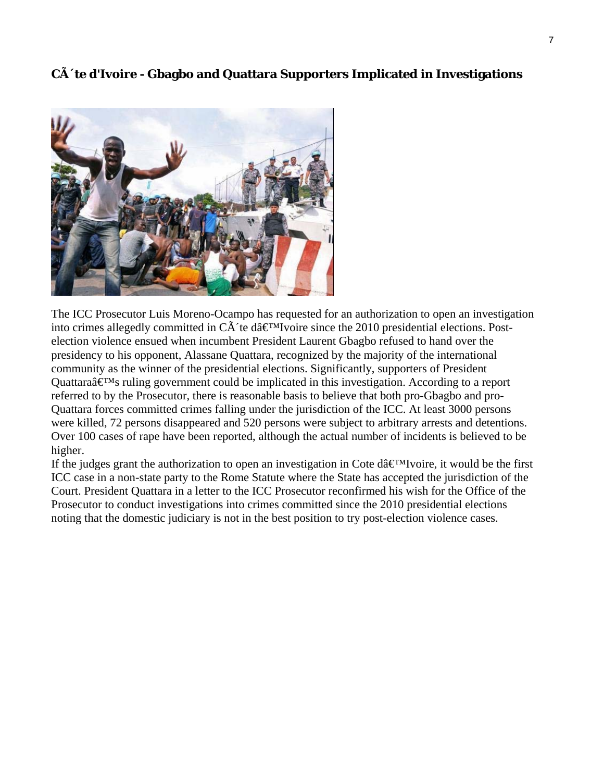## **C** $\tilde{A}$ <sup> $\tilde{A}$ </sup> te d'Ivoire - Gbagbo and Quattara Supporters Implicated in Investigations



The ICC Prosecutor Luis Moreno-Ocampo has requested for an authorization to open an investigation into crimes allegedly committed in  $C\tilde{A}$  te dâ $\infty$ <sup>I</sup>voire since the 2010 presidential elections. Postelection violence ensued when incumbent President Laurent Gbagbo refused to hand over the presidency to his opponent, Alassane Quattara, recognized by the majority of the international community as the winner of the presidential elections. Significantly, supporters of President Quattara $\hat{\mathbf{a}} \in \mathbb{M}$ s ruling government could be implicated in this investigation. According to a report referred to by the Prosecutor, there is reasonable basis to believe that both pro-Gbagbo and pro-Quattara forces committed crimes falling under the jurisdiction of the ICC. At least 3000 persons were killed, 72 persons disappeared and 520 persons were subject to arbitrary arrests and detentions. Over 100 cases of rape have been reported, although the actual number of incidents is believed to be higher.

If the judges grant the authorization to open an investigation in Cote d $\hat{a} \in M$  voire, it would be the first ICC case in a non-state party to the Rome Statute where the State has accepted the jurisdiction of the Court. President Quattara in a letter to the ICC Prosecutor reconfirmed his wish for the Office of the Prosecutor to conduct investigations into crimes committed since the 2010 presidential elections noting that the domestic judiciary is not in the best position to try post-election violence cases.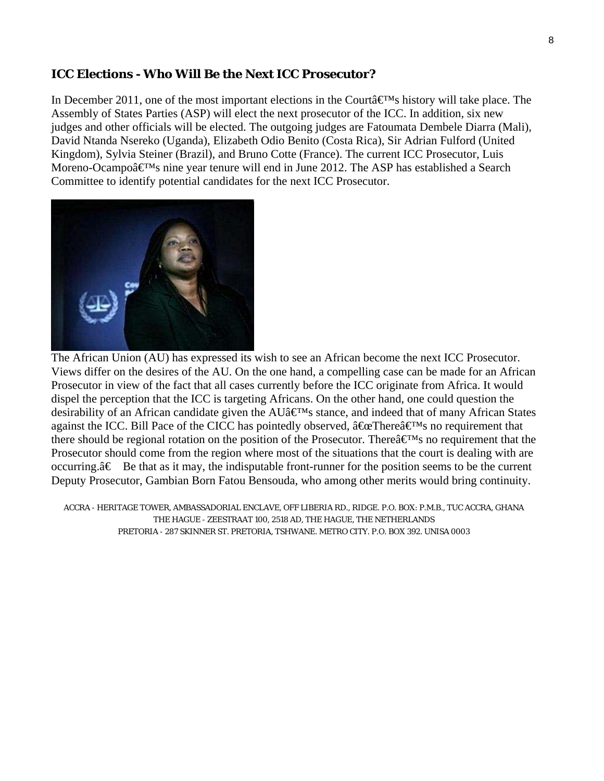#### **ICC Elections - Who Will Be the Next ICC Prosecutor?**

In December 2011, one of the most important elections in the Courta  $\mathbb{R}^M$ s history will take place. The Assembly of States Parties (ASP) will elect the next prosecutor of the ICC. In addition, six new judges and other officials will be elected. The outgoing judges are Fatoumata Dembele Diarra (Mali), David Ntanda Nsereko (Uganda), Elizabeth Odio Benito (Costa Rica), Sir Adrian Fulford (United Kingdom), Sylvia Steiner (Brazil), and Bruno Cotte (France). The current ICC Prosecutor, Luis Moreno-Ocampo $\hat{\mathbf{a}} \in \mathbb{M}$ s nine year tenure will end in June 2012. The ASP has established a Search Committee to identify potential candidates for the next ICC Prosecutor.



The African Union (AU) has expressed its wish to see an African become the next ICC Prosecutor. Views differ on the desires of the AU. On the one hand, a compelling case can be made for an African Prosecutor in view of the fact that all cases currently before the ICC originate from Africa. It would dispel the perception that the ICC is targeting Africans. On the other hand, one could question the desirability of an African candidate given the  $AUâf{\'i}Ms$  stance, and indeed that of many African States against the ICC. Bill Pace of the CICC has pointedly observed,  $\hat{a} \oplus \mathbb{C}$ There $\hat{a} \oplus \mathbb{N}$ s no requirement that there should be regional rotation on the position of the Prosecutor. There  $\hat{a} \in M_s$  no requirement that the Prosecutor should come from the region where most of the situations that the court is dealing with are occurring. $\hat{a} \in B$ e that as it may, the indisputable front-runner for the position seems to be the current Deputy Prosecutor, Gambian Born Fatou Bensouda, who among other merits would bring continuity.

ACCRA - HERITAGE TOWER, AMBASSADORIAL ENCLAVE, OFF LIBERIA RD., RIDGE. P.O. BOX: P.M.B., TUC ACCRA, GHANA THE HAGUE - ZEESTRAAT 100, 2518 AD, THE HAGUE, THE NETHERLANDS PRETORIA - 287 SKINNER ST. PRETORIA, TSHWANE. METRO CITY. P.O. BOX 392. UNISA 0003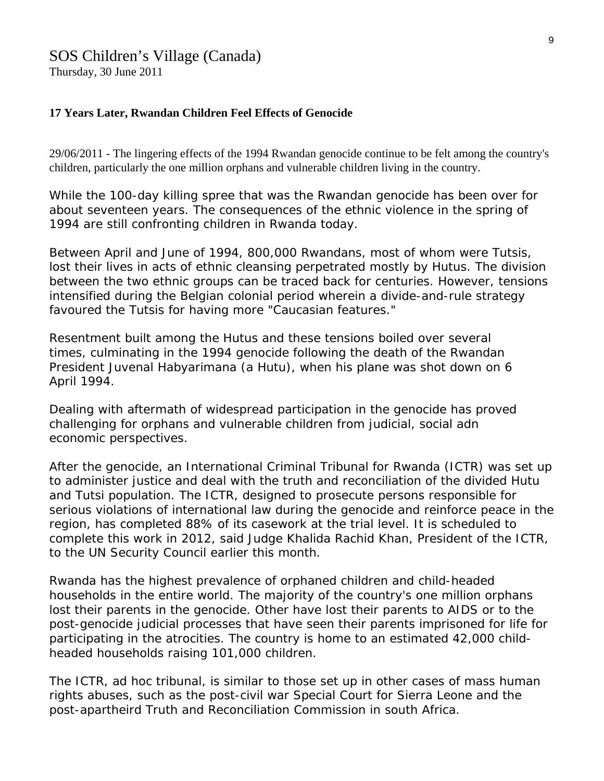## SOS Children's Village (Canada)

Thursday, 30 June 2011

#### **17 Years Later, Rwandan Children Feel Effects of Genocide**

29/06/2011 - The lingering effects of the 1994 Rwandan genocide continue to be felt among the country's children, particularly the one million orphans and vulnerable children living in the country.

While the 100-day killing spree that was the Rwandan genocide has been over for about seventeen years. The consequences of the ethnic violence in the spring of 1994 are still confronting children in [Rwanda](http://www.soschildrensvillages.ca/Where-we-help/Africa/Rwanda/Pages/default.aspx) today.

Between April and June of 1994, 800,000 Rwandans, most of whom were Tutsis, lost their lives in acts of ethnic cleansing perpetrated mostly by Hutus. The division between the two ethnic groups can be traced back for centuries. However, tensions intensified during the Belgian colonial period wherein a divide-and-rule strategy favoured the Tutsis for having more "Caucasian features."

Resentment built among the Hutus and these tensions boiled over several times, culminating in the 1994 genocide following the death of the Rwandan President Juvenal Habyarimana (a Hutu), when his plane was shot down on 6 April 1994.

Dealing with aftermath of widespread participation in the genocide has proved challenging for [orphans and vulnerable children](http://www.soschildrensvillages.ca/What-we-do/Pages/default.aspx) from judicial, social adn economic perspectives.

After the genocide, an International Criminal Tribunal for Rwanda (ICTR) was set up to administer justice and deal with the truth and reconciliation of the divided Hutu and Tutsi population. The ICTR, designed to prosecute persons responsible for serious violations of international law during the genocide and reinforce peace in the region, has completed 88% of its casework at the trial level. It is scheduled to complete this work in 2012, said Judge Khalida Rachid Khan, President of the ICTR, to the UN Security Council earlier this month.

Rwanda has the highest prevalence of orphaned children and child-headed households in the entire world. The majority of the country's one million orphans lost their parents in the genocide. Other have lost their parents to AIDS or to the post-genocide judicial processes that have seen their parents imprisoned for life for participating in the atrocities. The country is home to an estimated 42,000 childheaded households raising 101,000 children.

The ICTR, ad hoc tribunal, is similar to those set up in other cases of mass human rights abuses, such as the post-civil war Special Court for Sierra Leone and the post-apartheird Truth and Reconciliation Commission in south Africa.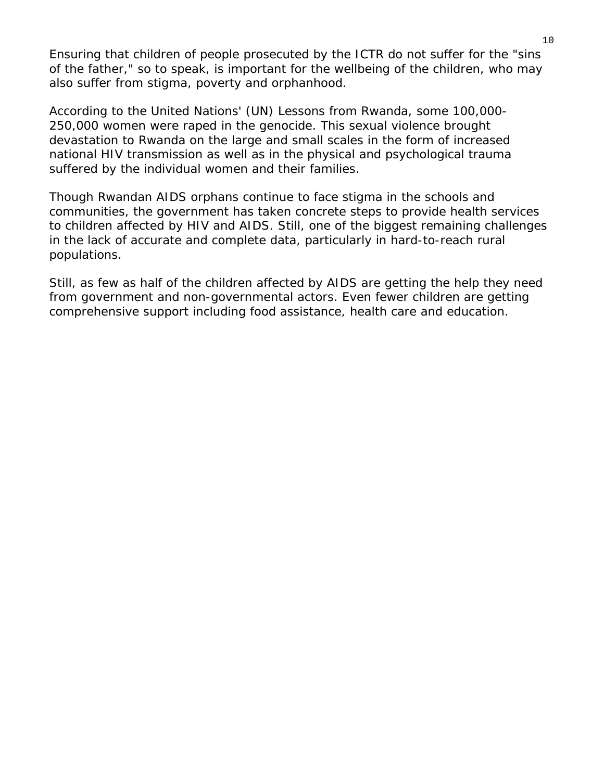Ensuring that children of people prosecuted by the ICTR do not suffer for the "sins of the father," so to speak, is important for the wellbeing of the children, who may also suffer from stigma, poverty and orphanhood.

According to the United Nations' (UN) *Lessons from Rwanda*, some 100,000- 250,000 women were raped in the genocide. This sexual violence brought devastation to Rwanda on the large and small scales in the form of increased national HIV transmission as well as in the physical and psychological trauma suffered by the individual women and their families.

Though Rwandan AIDS orphans continue to face stigma in the schools and communities, the government has taken concrete steps to provide health services to children affected by HIV and AIDS. Still, one of the biggest remaining challenges in the lack of accurate and complete data, particularly in hard-to-reach rural populations.

Still, as few as half of the children affected by AIDS are getting the help they need from government and non-governmental actors. Even fewer children are getting comprehensive support including food assistance, health care and education.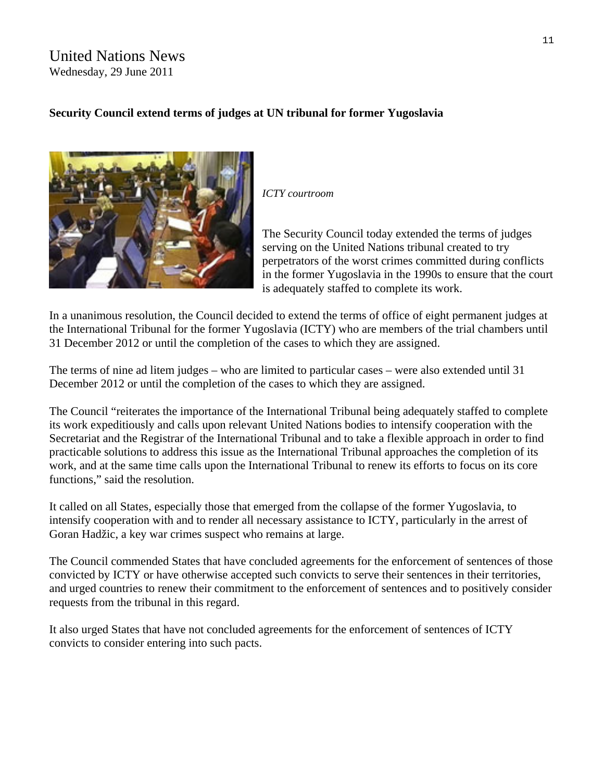## United Nations News Wednesday, 29 June 2011

## **Security Council extend terms of judges at UN tribunal for former Yugoslavia**



*ICTY courtroom* 

The Security Council today extended the terms of judges serving on the United Nations tribunal created to try perpetrators of the worst crimes committed during conflicts in the former Yugoslavia in the 1990s to ensure that the court is adequately staffed to complete its work.

In a unanimous resolution, the Council decided to extend the terms of office of eight permanent judges at the International Tribunal for the former Yugoslavia (ICTY) who are members of the trial chambers until 31 December 2012 or until the completion of the cases to which they are assigned.

The terms of nine ad litem judges – who are limited to particular cases – were also extended until 31 December 2012 or until the completion of the cases to which they are assigned.

The Council "reiterates the importance of the International Tribunal being adequately staffed to complete its work expeditiously and calls upon relevant United Nations bodies to intensify cooperation with the Secretariat and the Registrar of the International Tribunal and to take a flexible approach in order to find practicable solutions to address this issue as the International Tribunal approaches the completion of its work, and at the same time calls upon the International Tribunal to renew its efforts to focus on its core functions," said the resolution.

It called on all States, especially those that emerged from the collapse of the former Yugoslavia, to intensify cooperation with and to render all necessary assistance to ICTY, particularly in the arrest of Goran Hadžic, a key war crimes suspect who remains at large.

The Council commended States that have concluded agreements for the enforcement of sentences of those convicted by ICTY or have otherwise accepted such convicts to serve their sentences in their territories, and urged countries to renew their commitment to the enforcement of sentences and to positively consider requests from the tribunal in this regard.

It also urged States that have not concluded agreements for the enforcement of sentences of ICTY convicts to consider entering into such pacts.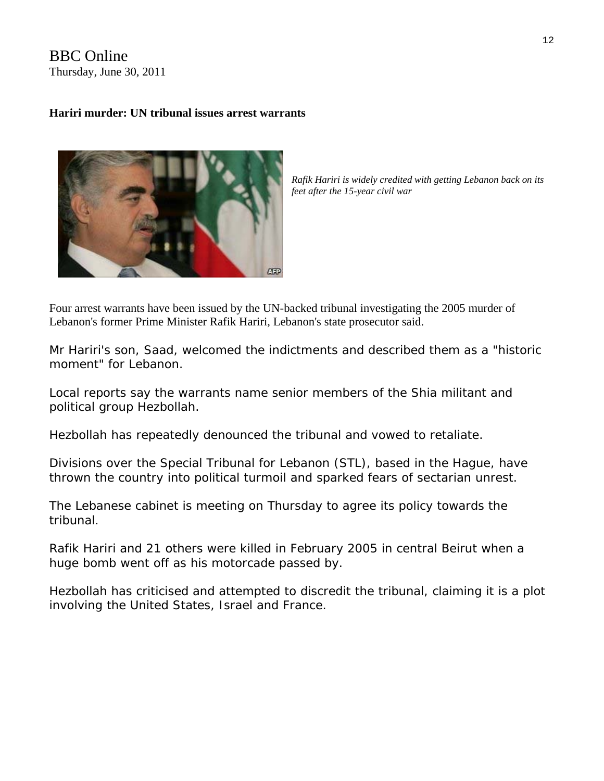BBC Online Thursday, June 30, 2011

#### **Hariri murder: UN tribunal issues arrest warrants**



*Rafik Hariri is widely credited with getting Lebanon back on its feet after the 15-year civil war* 

Four arrest warrants have been issued by the UN-backed tribunal investigating the 2005 murder of Lebanon's former Prime Minister Rafik Hariri, Lebanon's state prosecutor said.

Mr Hariri's son, Saad, welcomed the indictments and described them as a "historic moment" for Lebanon.

Local reports say the warrants name senior members of the Shia militant and political group Hezbollah.

Hezbollah has repeatedly denounced the tribunal and vowed to retaliate.

Divisions over the Special Tribunal for Lebanon (STL), based in the Hague, have thrown the country into political turmoil and sparked fears of sectarian unrest.

The Lebanese cabinet is meeting on Thursday to agree its policy towards the tribunal.

Rafik Hariri and 21 others were killed in February 2005 in central Beirut when a huge bomb went off as his motorcade passed by.

Hezbollah has criticised and attempted to discredit the tribunal, claiming it is a plot involving the United States, Israel and France.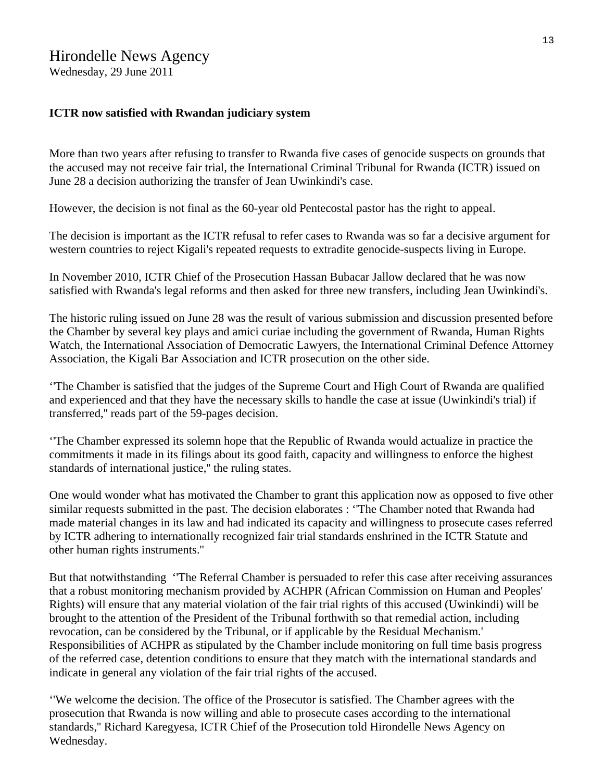## Hirondelle News Agency

Wednesday, 29 June 2011

#### **ICTR now satisfied with Rwandan judiciary system**

More than two years after refusing to transfer to Rwanda five cases of genocide suspects on grounds that the accused may not receive fair trial, the International Criminal Tribunal for Rwanda (ICTR) issued on June 28 a decision authorizing the transfer of Jean Uwinkindi's case.

However, the decision is not final as the 60-year old Pentecostal pastor has the right to appeal.

The decision is important as the ICTR refusal to refer cases to Rwanda was so far a decisive argument for western countries to reject Kigali's repeated requests to extradite genocide-suspects living in Europe.

In November 2010, ICTR Chief of the Prosecution Hassan Bubacar Jallow declared that he was now satisfied with Rwanda's legal reforms and then asked for three new transfers, including Jean Uwinkindi's.

The historic ruling issued on June 28 was the result of various submission and discussion presented before the Chamber by several key plays and amici curiae including the government of Rwanda, Human Rights Watch, the International Association of Democratic Lawyers, the International Criminal Defence Attorney Association, the Kigali Bar Association and ICTR prosecution on the other side.

''The Chamber is satisfied that the judges of the Supreme Court and High Court of Rwanda are qualified and experienced and that they have the necessary skills to handle the case at issue (Uwinkindi's trial) if transferred,'' reads part of the 59-pages decision.

''The Chamber expressed its solemn hope that the Republic of Rwanda would actualize in practice the commitments it made in its filings about its good faith, capacity and willingness to enforce the highest standards of international justice,'' the ruling states.

One would wonder what has motivated the Chamber to grant this application now as opposed to five other similar requests submitted in the past. The decision elaborates : ''The Chamber noted that Rwanda had made material changes in its law and had indicated its capacity and willingness to prosecute cases referred by ICTR adhering to internationally recognized fair trial standards enshrined in the ICTR Statute and other human rights instruments.''

But that notwithstanding ''The Referral Chamber is persuaded to refer this case after receiving assurances that a robust monitoring mechanism provided by ACHPR (African Commission on Human and Peoples' Rights) will ensure that any material violation of the fair trial rights of this accused (Uwinkindi) will be brought to the attention of the President of the Tribunal forthwith so that remedial action, including revocation, can be considered by the Tribunal, or if applicable by the Residual Mechanism.' Responsibilities of ACHPR as stipulated by the Chamber include monitoring on full time basis progress of the referred case, detention conditions to ensure that they match with the international standards and indicate in general any violation of the fair trial rights of the accused.

''We welcome the decision. The office of the Prosecutor is satisfied. The Chamber agrees with the prosecution that Rwanda is now willing and able to prosecute cases according to the international standards,'' Richard Karegyesa, ICTR Chief of the Prosecution told Hirondelle News Agency on Wednesday.